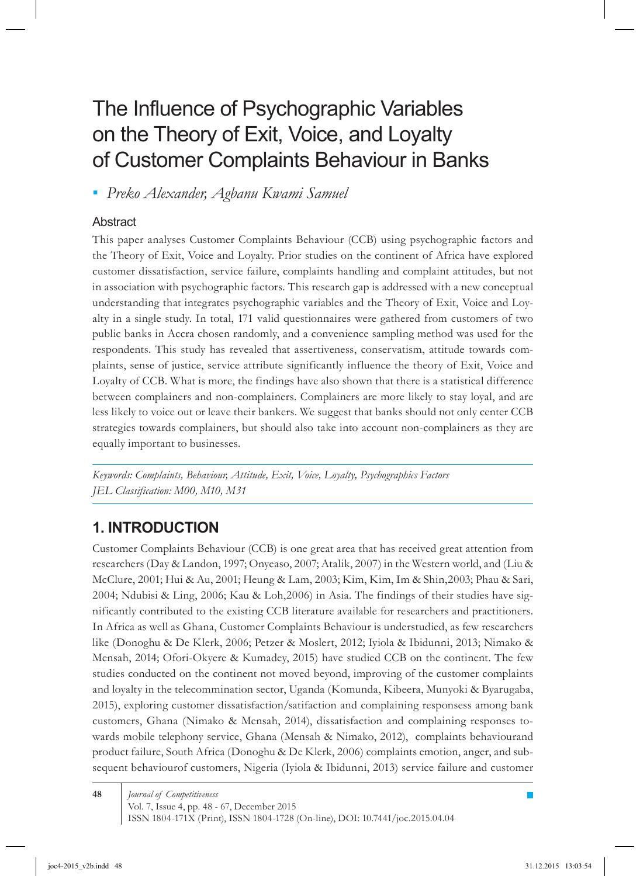# The Influence of Psychographic Variables on the Theory of Exit, Voice, and Loyalty of Customer Complaints Behaviour in Banks

*Preko Alexander, Agbanu Kwami Samuel ▪*

#### **Abstract**

This paper analyses Customer Complaints Behaviour (CCB) using psychographic factors and the Theory of Exit, Voice and Loyalty. Prior studies on the continent of Africa have explored customer dissatisfaction, service failure, complaints handling and complaint attitudes, but not in association with psychographic factors. This research gap is addressed with a new conceptual understanding that integrates psychographic variables and the Theory of Exit, Voice and Loyalty in a single study. In total, 171 valid questionnaires were gathered from customers of two public banks in Accra chosen randomly, and a convenience sampling method was used for the respondents. This study has revealed that assertiveness, conservatism, attitude towards complaints, sense of justice, service attribute significantly influence the theory of Exit, Voice and Loyalty of CCB. What is more, the findings have also shown that there is a statistical difference between complainers and non-complainers. Complainers are more likely to stay loyal, and are less likely to voice out or leave their bankers. We suggest that banks should not only center CCB strategies towards complainers, but should also take into account non-complainers as they are equally important to businesses.

*Keywords: Complaints, Behaviour, Attitude, Exit, Voice, Loyalty, Psychographics Factors JEL Classification: M00, M10, M31*

# **1. Introduction**

Customer Complaints Behaviour (CCB) is one great area that has received great attention from researchers (Day & Landon, 1997; Onyeaso, 2007; Atalik, 2007) in the Western world, and (Liu & McClure, 2001; Hui & Au, 2001; Heung & Lam, 2003; Kim, Kim, Im & Shin,2003; Phau & Sari, 2004; Ndubisi & Ling, 2006; Kau & Loh,2006) in Asia. The findings of their studies have significantly contributed to the existing CCB literature available for researchers and practitioners. In Africa as well as Ghana, Customer Complaints Behaviour is understudied, as few researchers like (Donoghu & De Klerk, 2006; Petzer & Moslert, 2012; Iyiola & Ibidunni, 2013; Nimako & Mensah, 2014; Ofori-Okyere & Kumadey, 2015) have studied CCB on the continent. The few studies conducted on the continent not moved beyond, improving of the customer complaints and loyalty in the telecommination sector, Uganda (Komunda, Kibeera, Munyoki & Byarugaba, 2015), exploring customer dissatisfaction/satifaction and complaining responsess among bank customers, Ghana (Nimako & Mensah, 2014), dissatisfaction and complaining responses towards mobile telephony service, Ghana (Mensah & Nimako, 2012), complaints behaviourand product failure, South Africa (Donoghu & De Klerk, 2006) complaints emotion, anger, and subsequent behaviourof customers, Nigeria (Iyiola & Ibidunni, 2013) service failure and customer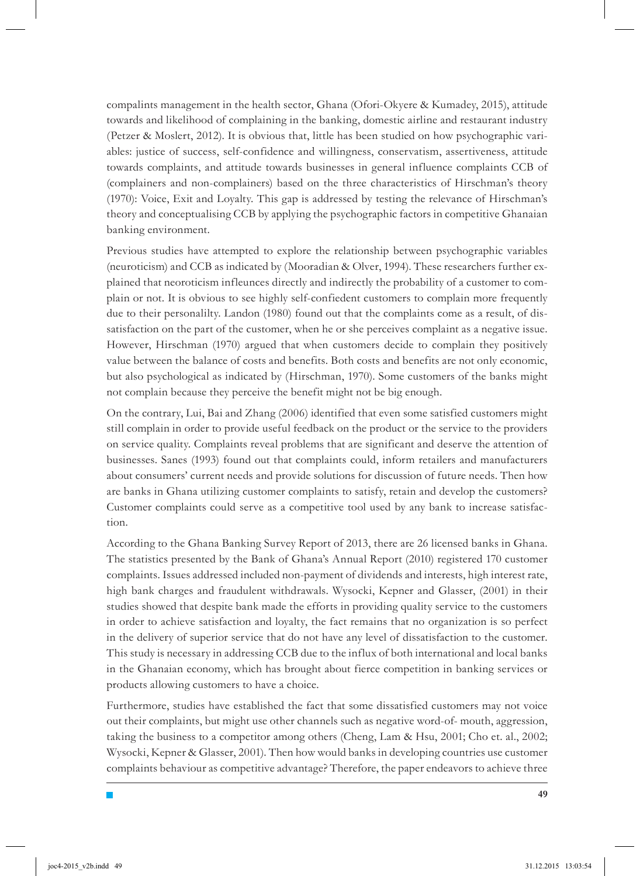compalints management in the health sector, Ghana (Ofori-Okyere & Kumadey, 2015), attitude towards and likelihood of complaining in the banking, domestic airline and restaurant industry (Petzer & Moslert, 2012). It is obvious that, little has been studied on how psychographic variables: justice of success, self-confidence and willingness, conservatism, assertiveness, attitude towards complaints, and attitude towards businesses in general influence complaints CCB of (complainers and non-complainers) based on the three characteristics of Hirschman's theory (1970): Voice, Exit and Loyalty. This gap is addressed by testing the relevance of Hirschman's theory and conceptualising CCB by applying the psychographic factors in competitive Ghanaian banking environment.

Previous studies have attempted to explore the relationship between psychographic variables (neuroticism) and CCB as indicated by (Mooradian & Olver, 1994). These researchers further explained that neoroticism infleunces directly and indirectly the probability of a customer to complain or not. It is obvious to see highly self-confiedent customers to complain more frequently due to their personalilty. Landon (1980) found out that the complaints come as a result, of dissatisfaction on the part of the customer, when he or she perceives complaint as a negative issue. However, Hirschman (1970) argued that when customers decide to complain they positively value between the balance of costs and benefits. Both costs and benefits are not only economic, but also psychological as indicated by (Hirschman, 1970). Some customers of the banks might not complain because they perceive the benefit might not be big enough.

On the contrary, Lui, Bai and Zhang (2006) identified that even some satisfied customers might still complain in order to provide useful feedback on the product or the service to the providers on service quality. Complaints reveal problems that are significant and deserve the attention of businesses. Sanes (1993) found out that complaints could, inform retailers and manufacturers about consumers' current needs and provide solutions for discussion of future needs. Then how are banks in Ghana utilizing customer complaints to satisfy, retain and develop the customers? Customer complaints could serve as a competitive tool used by any bank to increase satisfaction.

According to the Ghana Banking Survey Report of 2013, there are 26 licensed banks in Ghana. The statistics presented by the Bank of Ghana's Annual Report (2010) registered 170 customer complaints. Issues addressed included non-payment of dividends and interests, high interest rate, high bank charges and fraudulent withdrawals. Wysocki, Kepner and Glasser, (2001) in their studies showed that despite bank made the efforts in providing quality service to the customers in order to achieve satisfaction and loyalty, the fact remains that no organization is so perfect in the delivery of superior service that do not have any level of dissatisfaction to the customer. This study is necessary in addressing CCB due to the influx of both international and local banks in the Ghanaian economy, which has brought about fierce competition in banking services or products allowing customers to have a choice.

Furthermore, studies have established the fact that some dissatisfied customers may not voice out their complaints, but might use other channels such as negative word-of- mouth, aggression, taking the business to a competitor among others (Cheng, Lam & Hsu, 2001; Cho et. al., 2002; Wysocki, Kepner & Glasser, 2001). Then how would banks in developing countries use customer complaints behaviour as competitive advantage? Therefore, the paper endeavors to achieve three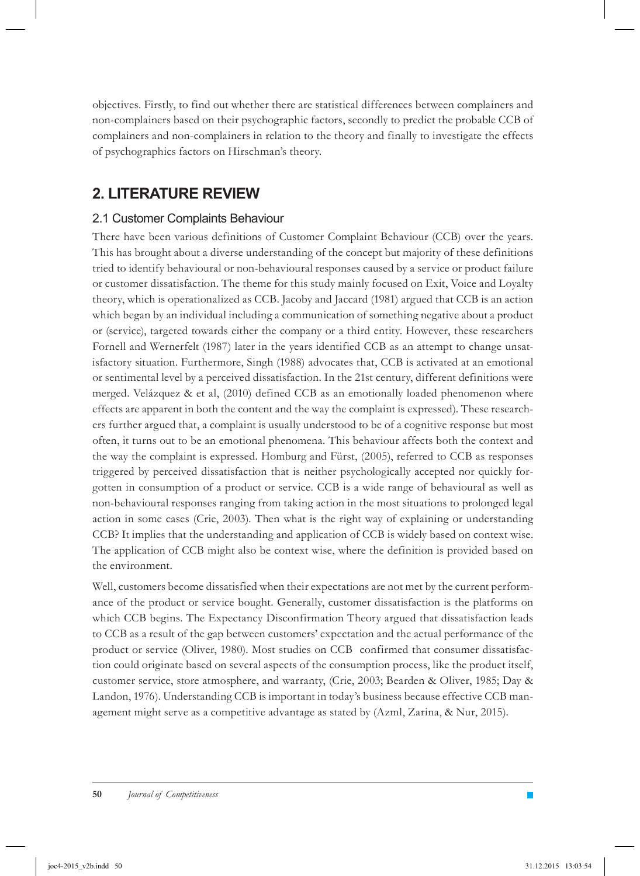objectives. Firstly, to find out whether there are statistical differences between complainers and non-complainers based on their psychographic factors, secondly to predict the probable CCB of complainers and non-complainers in relation to the theory and finally to investigate the effects of psychographics factors on Hirschman's theory.

# **2. Literature Review**

#### 2.1 Customer Complaints Behaviour

There have been various definitions of Customer Complaint Behaviour (CCB) over the years. This has brought about a diverse understanding of the concept but majority of these definitions tried to identify behavioural or non-behavioural responses caused by a service or product failure or customer dissatisfaction. The theme for this study mainly focused on Exit, Voice and Loyalty theory, which is operationalized as CCB. Jacoby and Jaccard (1981) argued that CCB is an action which began by an individual including a communication of something negative about a product or (service), targeted towards either the company or a third entity. However, these researchers Fornell and Wernerfelt (1987) later in the years identified CCB as an attempt to change unsatisfactory situation. Furthermore, Singh (1988) advocates that, CCB is activated at an emotional or sentimental level by a perceived dissatisfaction. In the 21st century, different definitions were merged. Velázquez & et al, (2010) defined CCB as an emotionally loaded phenomenon where effects are apparent in both the content and the way the complaint is expressed). These researchers further argued that, a complaint is usually understood to be of a cognitive response but most often, it turns out to be an emotional phenomena. This behaviour affects both the context and the way the complaint is expressed. Homburg and Fürst, (2005), referred to CCB as responses triggered by perceived dissatisfaction that is neither psychologically accepted nor quickly forgotten in consumption of a product or service. CCB is a wide range of behavioural as well as non-behavioural responses ranging from taking action in the most situations to prolonged legal action in some cases (Crie, 2003). Then what is the right way of explaining or understanding CCB? It implies that the understanding and application of CCB is widely based on context wise. The application of CCB might also be context wise, where the definition is provided based on the environment.

Well, customers become dissatisfied when their expectations are not met by the current performance of the product or service bought. Generally, customer dissatisfaction is the platforms on which CCB begins. The Expectancy Disconfirmation Theory argued that dissatisfaction leads to CCB as a result of the gap between customers' expectation and the actual performance of the product or service (Oliver, 1980). Most studies on CCB confirmed that consumer dissatisfaction could originate based on several aspects of the consumption process, like the product itself, customer service, store atmosphere, and warranty, (Crie, 2003; Bearden & Oliver, 1985; Day & Landon, 1976). Understanding CCB is important in today's business because effective CCB management might serve as a competitive advantage as stated by (Azml, Zarina, & Nur, 2015).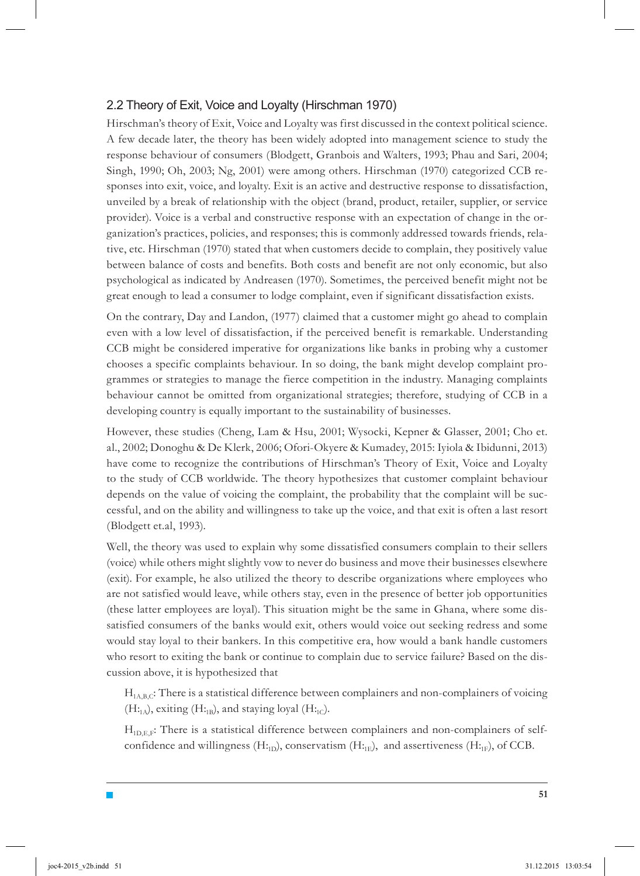#### 2.2 Theory of Exit, Voice and Loyalty (Hirschman 1970)

Hirschman's theory of Exit, Voice and Loyalty was first discussed in the context political science. A few decade later, the theory has been widely adopted into management science to study the response behaviour of consumers (Blodgett, Granbois and Walters, 1993; Phau and Sari, 2004; Singh, 1990; Oh, 2003; Ng, 2001) were among others. Hirschman (1970) categorized CCB responses into exit, voice, and loyalty. Exit is an active and destructive response to dissatisfaction, unveiled by a break of relationship with the object (brand, product, retailer, supplier, or service provider). Voice is a verbal and constructive response with an expectation of change in the organization's practices, policies, and responses; this is commonly addressed towards friends, relative, etc. Hirschman (1970) stated that when customers decide to complain, they positively value between balance of costs and benefits. Both costs and benefit are not only economic, but also psychological as indicated by Andreasen (1970). Sometimes, the perceived benefit might not be great enough to lead a consumer to lodge complaint, even if significant dissatisfaction exists.

On the contrary, Day and Landon, (1977) claimed that a customer might go ahead to complain even with a low level of dissatisfaction, if the perceived benefit is remarkable. Understanding CCB might be considered imperative for organizations like banks in probing why a customer chooses a specific complaints behaviour. In so doing, the bank might develop complaint programmes or strategies to manage the fierce competition in the industry. Managing complaints behaviour cannot be omitted from organizational strategies; therefore, studying of CCB in a developing country is equally important to the sustainability of businesses.

However, these studies (Cheng, Lam & Hsu, 2001; Wysocki, Kepner & Glasser, 2001; Cho et. al., 2002; Donoghu & De Klerk, 2006; Ofori-Okyere & Kumadey, 2015: Iyiola & Ibidunni, 2013) have come to recognize the contributions of Hirschman's Theory of Exit, Voice and Loyalty to the study of CCB worldwide. The theory hypothesizes that customer complaint behaviour depends on the value of voicing the complaint, the probability that the complaint will be successful, and on the ability and willingness to take up the voice, and that exit is often a last resort (Blodgett et.al, 1993).

Well, the theory was used to explain why some dissatisfied consumers complain to their sellers (voice) while others might slightly vow to never do business and move their businesses elsewhere (exit). For example, he also utilized the theory to describe organizations where employees who are not satisfied would leave, while others stay, even in the presence of better job opportunities (these latter employees are loyal). This situation might be the same in Ghana, where some dissatisfied consumers of the banks would exit, others would voice out seeking redress and some would stay loyal to their bankers. In this competitive era, how would a bank handle customers who resort to exiting the bank or continue to complain due to service failure? Based on the discussion above, it is hypothesized that

 $H<sub>1A,B,C</sub>$ : There is a statistical difference between complainers and non-complainers of voicing  $(H:_{1A})$ , exiting  $(H:_{1B})$ , and staying loyal  $(H:_{1C})$ .

 $H<sub>1D.E.F</sub>$ : There is a statistical difference between complainers and non-complainers of selfconfidence and willingness (H:<sub>ID</sub>), conservatism (H:<sub>IE</sub>), and assertiveness (H:<sub>IF</sub>), of CCB.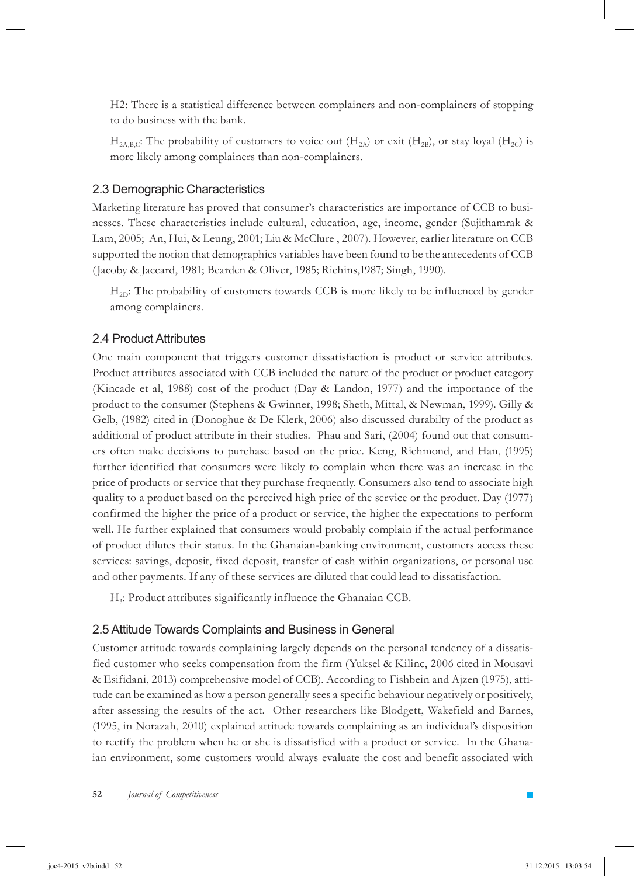H2: There is a statistical difference between complainers and non-complainers of stopping to do business with the bank.

 $H_{2A,B,C}$ : The probability of customers to voice out  $(H_{2A})$  or exit  $(H_{2B})$ , or stay loyal  $(H_{2C})$  is more likely among complainers than non-complainers.

#### 2.3 Demographic Characteristics

Marketing literature has proved that consumer's characteristics are importance of CCB to businesses. These characteristics include cultural, education, age, income, gender (Sujithamrak & Lam, 2005; An, Hui, & Leung, 2001; Liu & McClure , 2007). However, earlier literature on CCB supported the notion that demographics variables have been found to be the antecedents of CCB (Jacoby & Jaccard, 1981; Bearden & Oliver, 1985; Richins,1987; Singh, 1990).

 $H_{2D}$ : The probability of customers towards CCB is more likely to be influenced by gender among complainers.

#### 2.4 Product Attributes

One main component that triggers customer dissatisfaction is product or service attributes. Product attributes associated with CCB included the nature of the product or product category (Kincade et al, 1988) cost of the product (Day & Landon, 1977) and the importance of the product to the consumer (Stephens & Gwinner, 1998; Sheth, Mittal, & Newman, 1999). Gilly & Gelb, (1982) cited in (Donoghue & De Klerk, 2006) also discussed durabilty of the product as additional of product attribute in their studies. Phau and Sari, (2004) found out that consumers often make decisions to purchase based on the price. Keng, Richmond, and Han, (1995) further identified that consumers were likely to complain when there was an increase in the price of products or service that they purchase frequently. Consumers also tend to associate high quality to a product based on the perceived high price of the service or the product. Day (1977) confirmed the higher the price of a product or service, the higher the expectations to perform well. He further explained that consumers would probably complain if the actual performance of product dilutes their status. In the Ghanaian-banking environment, customers access these services: savings, deposit, fixed deposit, transfer of cash within organizations, or personal use and other payments. If any of these services are diluted that could lead to dissatisfaction.

H3: Product attributes significantly influence the Ghanaian CCB.

#### 2.5 Attitude Towards Complaints and Business in General

Customer attitude towards complaining largely depends on the personal tendency of a dissatisfied customer who seeks compensation from the firm (Yuksel & Kilinc, 2006 cited in Mousavi & Esifidani, 2013) comprehensive model of CCB). According to Fishbein and Ajzen (1975), attitude can be examined as how a person generally sees a specific behaviour negatively or positively, after assessing the results of the act. Other researchers like Blodgett, Wakefield and Barnes, (1995, in Norazah, 2010) explained attitude towards complaining as an individual's disposition to rectify the problem when he or she is dissatisfied with a product or service. In the Ghanaian environment, some customers would always evaluate the cost and benefit associated with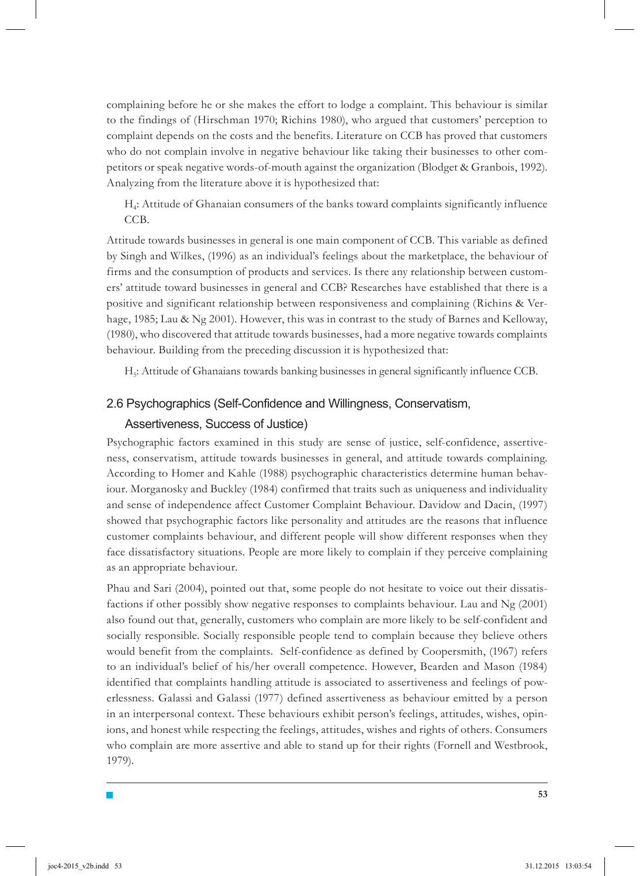complaining before he or she makes the effort to lodge a complaint. This behaviour is similar to the findings of (Hirschman 1970; Richins 1980), who argued that customers' perception to complaint depends on the costs and the benefits. Literature on CCB has proved that customers who do not complain involve in negative behaviour like taking their businesses to other competitors or speak negative words-of-mouth against the organization (Blodget & Granbois, 1992). Analyzing from the literature above it is hypothesized that:

H4: Attitude of Ghanaian consumers of the banks toward complaints significantly influence CCB.

Attitude towards businesses in general is one main component of CCB. This variable as defined by Singh and Wilkes, (1996) as an individual's feelings about the marketplace, the behaviour of firms and the consumption of products and services. Is there any relationship between customers' attitude toward businesses in general and CCB? Researches have established that there is a positive and significant relationship between responsiveness and complaining (Richins & Verhage, 1985; Lau & Ng 2001). However, this was in contrast to the study of Barnes and Kelloway, (1980), who discovered that attitude towards businesses, had a more negative towards complaints behaviour. Building from the preceding discussion it is hypothesized that:

H5: Attitude of Ghanaians towards banking businesses in general significantly influence CCB.

#### 2.6 Psychographics (Self-Confidence and Willingness, Conservatism,

#### Assertiveness, Success of Justice)

Psychographic factors examined in this study are sense of justice, self-confidence, assertiveness, conservatism, attitude towards businesses in general, and attitude towards complaining. According to Homer and Kahle (1988) psychographic characteristics determine human behaviour. Morganosky and Buckley (1984) confirmed that traits such as uniqueness and individuality and sense of independence affect Customer Complaint Behaviour. Davidow and Dacin, (1997) showed that psychographic factors like personality and attitudes are the reasons that influence customer complaints behaviour, and different people will show different responses when they face dissatisfactory situations. People are more likely to complain if they perceive complaining as an appropriate behaviour.

Phau and Sari (2004), pointed out that, some people do not hesitate to voice out their dissatisfactions if other possibly show negative responses to complaints behaviour. Lau and Ng (2001) also found out that, generally, customers who complain are more likely to be self-confident and socially responsible. Socially responsible people tend to complain because they believe others would benefit from the complaints. Self-confidence as defined by Coopersmith, (1967) refers to an individual's belief of his/her overall competence. However, Bearden and Mason (1984) identified that complaints handling attitude is associated to assertiveness and feelings of powerlessness. Galassi and Galassi (1977) defined assertiveness as behaviour emitted by a person in an interpersonal context. These behaviours exhibit person's feelings, attitudes, wishes, opinions, and honest while respecting the feelings, attitudes, wishes and rights of others. Consumers who complain are more assertive and able to stand up for their rights (Fornell and Westbrook, 1979).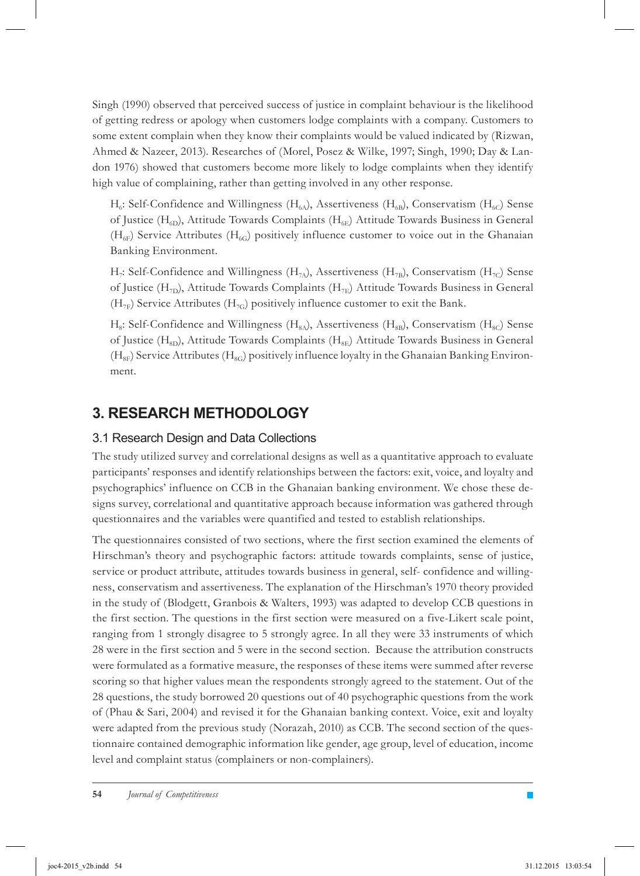Singh (1990) observed that perceived success of justice in complaint behaviour is the likelihood of getting redress or apology when customers lodge complaints with a company. Customers to some extent complain when they know their complaints would be valued indicated by (Rizwan, Ahmed & Nazeer, 2013). Researches of (Morel, Posez & Wilke, 1997; Singh, 1990; Day & Landon 1976) showed that customers become more likely to lodge complaints when they identify high value of complaining, rather than getting involved in any other response.

 $H_6$ : Self-Confidence and Willingness ( $H_{6A}$ ), Assertiveness ( $H_{6B}$ ), Conservatism ( $H_{6C}$ ) Sense of Justice ( $H_{6D}$ ), Attitude Towards Complaints ( $H_{6E}$ ) Attitude Towards Business in General  $(H<sub>6F</sub>)$  Service Attributes ( $H<sub>6G</sub>$ ) positively influence customer to voice out in the Ghanaian Banking Environment.

H<sub>7</sub>: Self-Confidence and Willingness (H<sub>7b</sub>), Assertiveness (H<sub>7B</sub>), Conservatism (H<sub>7C</sub>) Sense of Justice (H<sub>7D</sub>), Attitude Towards Complaints (H<sub>7E</sub>) Attitude Towards Business in General  $(H_{7F})$  Service Attributes  $(H_{7G})$  positively influence customer to exit the Bank.

 $H_{8}:$  Self-Confidence and Willingness  $(H_{80})$ , Assertiveness  $(H_{8B})$ , Conservatism  $(H_{8C})$  Sense of Justice (H<sub>8D</sub>), Attitude Towards Complaints (H<sub>8E</sub>) Attitude Towards Business in General  $(H_{\rm SF})$  Service Attributes  $(H_{\rm SC})$  positively influence loyalty in the Ghanaian Banking Environment.

### **3. Research Methodology**

#### 3.1 Research Design and Data Collections

The study utilized survey and correlational designs as well as a quantitative approach to evaluate participants' responses and identify relationships between the factors: exit, voice, and loyalty and psychographics' influence on CCB in the Ghanaian banking environment. We chose these designs survey, correlational and quantitative approach because information was gathered through questionnaires and the variables were quantified and tested to establish relationships.

The questionnaires consisted of two sections, where the first section examined the elements of Hirschman's theory and psychographic factors: attitude towards complaints, sense of justice, service or product attribute, attitudes towards business in general, self- confidence and willingness, conservatism and assertiveness. The explanation of the Hirschman's 1970 theory provided in the study of (Blodgett, Granbois & Walters, 1993) was adapted to develop CCB questions in the first section. The questions in the first section were measured on a five-Likert scale point, ranging from 1 strongly disagree to 5 strongly agree. In all they were 33 instruments of which 28 were in the first section and 5 were in the second section. Because the attribution constructs were formulated as a formative measure, the responses of these items were summed after reverse scoring so that higher values mean the respondents strongly agreed to the statement. Out of the 28 questions, the study borrowed 20 questions out of 40 psychographic questions from the work of (Phau & Sari, 2004) and revised it for the Ghanaian banking context. Voice, exit and loyalty were adapted from the previous study (Norazah, 2010) as CCB. The second section of the questionnaire contained demographic information like gender, age group, level of education, income level and complaint status (complainers or non-complainers).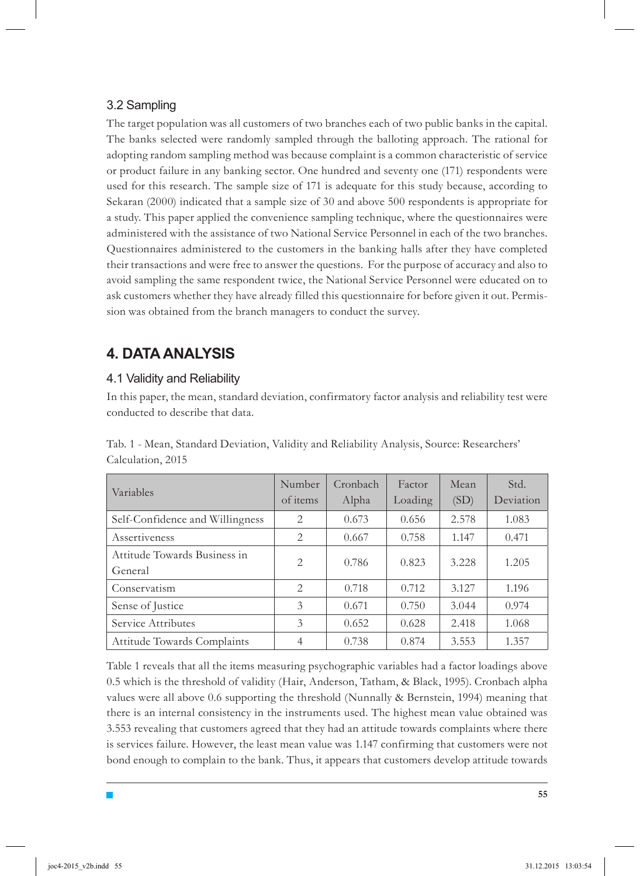#### 3.2 Sampling

The target population was all customers of two branches each of two public banks in the capital. The banks selected were randomly sampled through the balloting approach. The rational for adopting random sampling method was because complaint is a common characteristic of service or product failure in any banking sector. One hundred and seventy one (171) respondents were used for this research. The sample size of 171 is adequate for this study because, according to Sekaran (2000) indicated that a sample size of 30 and above 500 respondents is appropriate for a study. This paper applied the convenience sampling technique, where the questionnaires were administered with the assistance of two National Service Personnel in each of the two branches. Questionnaires administered to the customers in the banking halls after they have completed their transactions and were free to answer the questions. For the purpose of accuracy and also to avoid sampling the same respondent twice, the National Service Personnel were educated on to ask customers whether they have already filled this questionnaire for before given it out. Permission was obtained from the branch managers to conduct the survey.

## **4. Data Analysis**

#### 4.1 Validity and Reliability

In this paper, the mean, standard deviation, confirmatory factor analysis and reliability test were conducted to describe that data.

| Variables                               | Number<br>of items | Cronbach<br>Alpha | Factor<br>Loading | Mean<br>(SD) | Std.<br>Deviation |
|-----------------------------------------|--------------------|-------------------|-------------------|--------------|-------------------|
| Self-Confidence and Willingness         | 2                  | 0.673             | 0.656             | 2.578        | 1.083             |
| Assertiveness                           | 2                  | 0.667             | 0.758             | 1.147        | 0.471             |
| Attitude Towards Business in<br>General | $\overline{c}$     | 0.786             | 0.823             | 3.228        | 1.205             |
| Conservatism                            | $\mathfrak{D}$     | 0.718             | 0.712             | 3.127        | 1.196             |
| Sense of Justice                        | 3                  | 0.671             | 0.750             | 3.044        | 0.974             |
| Service Attributes                      | 3                  | 0.652             | 0.628             | 2.418        | 1.068             |
| Attitude Towards Complaints             |                    | 0.738             | 0.874             | 3.553        | 1.357             |

Tab. 1 - Mean, Standard Deviation, Validity and Reliability Analysis, Source: Researchers' Calculation, 2015

Table 1 reveals that all the items measuring psychographic variables had a factor loadings above 0.5 which is the threshold of validity (Hair, Anderson, Tatham, & Black, 1995). Cronbach alpha values were all above 0.6 supporting the threshold (Nunnally & Bernstein, 1994) meaning that there is an internal consistency in the instruments used. The highest mean value obtained was 3.553 revealing that customers agreed that they had an attitude towards complaints where there is services failure. However, the least mean value was 1.147 confirming that customers were not bond enough to complain to the bank. Thus, it appears that customers develop attitude towards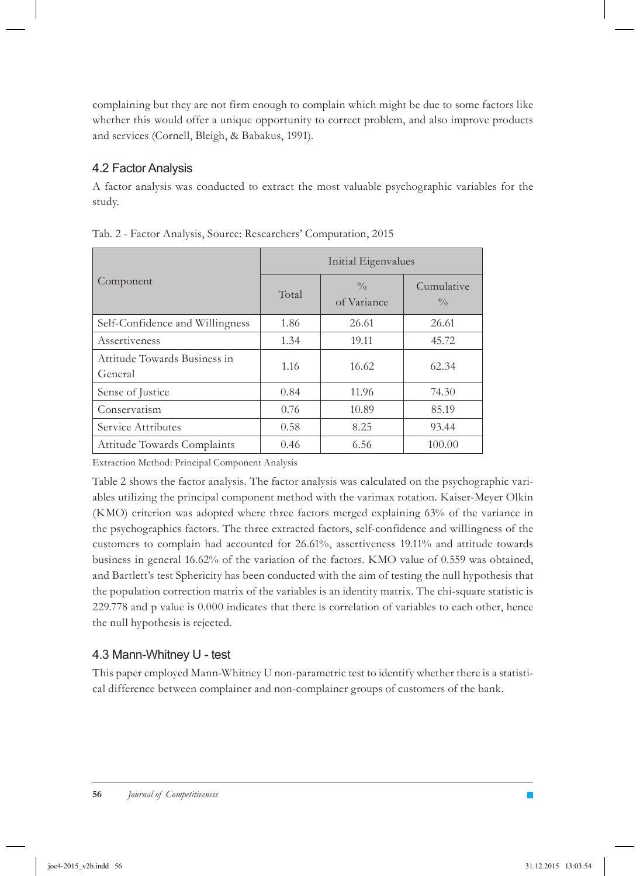complaining but they are not firm enough to complain which might be due to some factors like whether this would offer a unique opportunity to correct problem, and also improve products and services (Cornell, Bleigh, & Babakus, 1991).

#### 4.2 Factor Analysis

A factor analysis was conducted to extract the most valuable psychographic variables for the study.

|                                         | Initial Eigenvalues |                              |                             |  |  |  |
|-----------------------------------------|---------------------|------------------------------|-----------------------------|--|--|--|
| Component                               | Total               | $\frac{0}{0}$<br>of Variance | Cumulative<br>$\frac{0}{0}$ |  |  |  |
| Self-Confidence and Willingness         | 1.86                | 26.61                        | 26.61                       |  |  |  |
| Assertiveness                           | 1.34                | 19.11                        | 45.72                       |  |  |  |
| Attitude Towards Business in<br>General | 1.16                | 16.62                        | 62.34                       |  |  |  |
| Sense of Justice                        | 0.84                | 11.96                        | 74.30                       |  |  |  |
| Conservatism                            | 0.76                | 10.89                        | 85.19                       |  |  |  |
| Service Attributes                      | 0.58                | 8.25                         | 93.44                       |  |  |  |
| Attitude Towards Complaints             | 0.46                | 6.56                         | 100.00                      |  |  |  |

Tab. 2 - Factor Analysis, Source: Researchers' Computation, 2015

Extraction Method: Principal Component Analysis

Table 2 shows the factor analysis. The factor analysis was calculated on the psychographic variables utilizing the principal component method with the varimax rotation. Kaiser-Meyer Olkin (KMO) criterion was adopted where three factors merged explaining 63% of the variance in the psychographics factors. The three extracted factors, self-confidence and willingness of the customers to complain had accounted for 26.61%, assertiveness 19.11% and attitude towards business in general 16.62% of the variation of the factors. KMO value of 0.559 was obtained, and Bartlett's test Sphericity has been conducted with the aim of testing the null hypothesis that the population correction matrix of the variables is an identity matrix. The chi-square statistic is 229.778 and p value is 0.000 indicates that there is correlation of variables to each other, hence the null hypothesis is rejected.

#### 4.3 Mann-Whitney U - test

This paper employed Mann-Whitney U non-parametric test to identify whether there is a statistical difference between complainer and non-complainer groups of customers of the bank.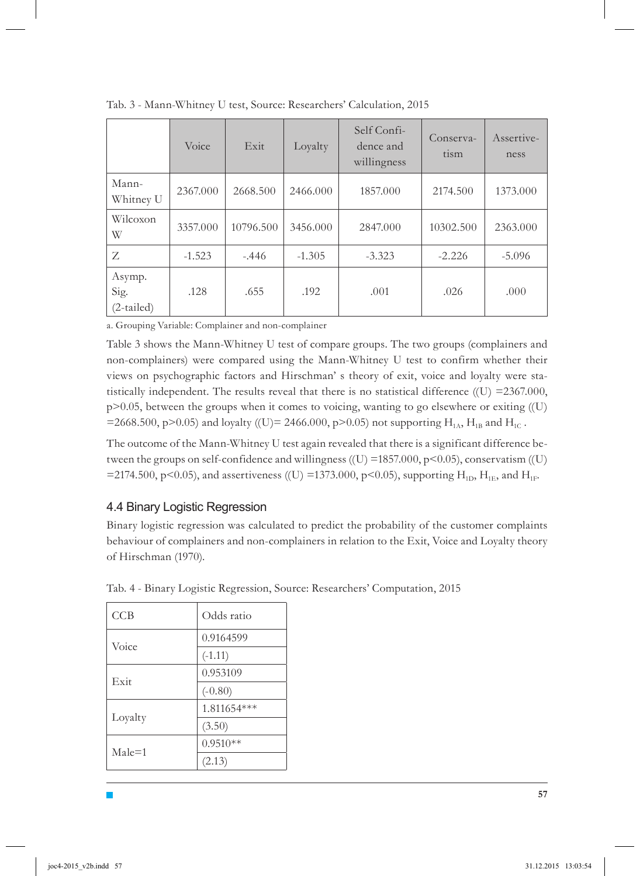|                                | Voice    | Exit      | Loyalty  | Self Confi-<br>dence and<br>willingness | Conserva-<br>tism | Assertive-<br>ness |
|--------------------------------|----------|-----------|----------|-----------------------------------------|-------------------|--------------------|
| Mann-<br>Whitney U             | 2367.000 | 2668.500  | 2466.000 | 1857.000                                | 2174.500          | 1373.000           |
| Wilcoxon<br>W                  | 3357.000 | 10796.500 | 3456.000 | 2847.000                                | 10302.500         | 2363.000           |
| Z                              | $-1.523$ | $-.446$   | $-1.305$ | $-3.323$                                | $-2.226$          | $-5.096$           |
| Asymp.<br>Sig.<br>$(2-tailed)$ | .128     | .655      | .192     | .001                                    | .026              | .000               |

Tab. 3 - Mann-Whitney U test, Source: Researchers' Calculation, 2015

a. Grouping Variable: Complainer and non-complainer

Table 3 shows the Mann-Whitney U test of compare groups. The two groups (complainers and non-complainers) were compared using the Mann-Whitney U test to confirm whether their views on psychographic factors and Hirschman' s theory of exit, voice and loyalty were statistically independent. The results reveal that there is no statistical difference  $(1)$  =2367.000,  $p>0.05$ , between the groups when it comes to voicing, wanting to go elsewhere or exiting ((U) =2668.500, p>0.05) and loyalty ((U)= 2466.000, p>0.05) not supporting  $H_{1A}$ ,  $H_{1B}$  and  $H_{1C}$ .

The outcome of the Mann-Whitney U test again revealed that there is a significant difference between the groups on self-confidence and willingness ((U) =1857.000, p<0.05), conservatism ((U) =2174.500, p<0.05), and assertiveness ((U) =1373.000, p<0.05), supporting  $H_{1D}$ ,  $H_{1E}$ , and  $H_{1E}$ .

#### 4.4 Binary Logistic Regression

Binary logistic regression was calculated to predict the probability of the customer complaints behaviour of complainers and non-complainers in relation to the Exit, Voice and Loyalty theory of Hirschman (1970).

| CCB        | Odds ratio  |
|------------|-------------|
| Voice      | 0.9164599   |
|            | $(-1.11)$   |
| Exit       | 0.953109    |
|            | $(-0.80)$   |
|            | 1.811654*** |
| Loyalty    | (3.50)      |
| $Male = 1$ | $0.9510**$  |
|            | (2.13)      |

Tab. 4 - Binary Logistic Regression, Source: Researchers' Computation, 2015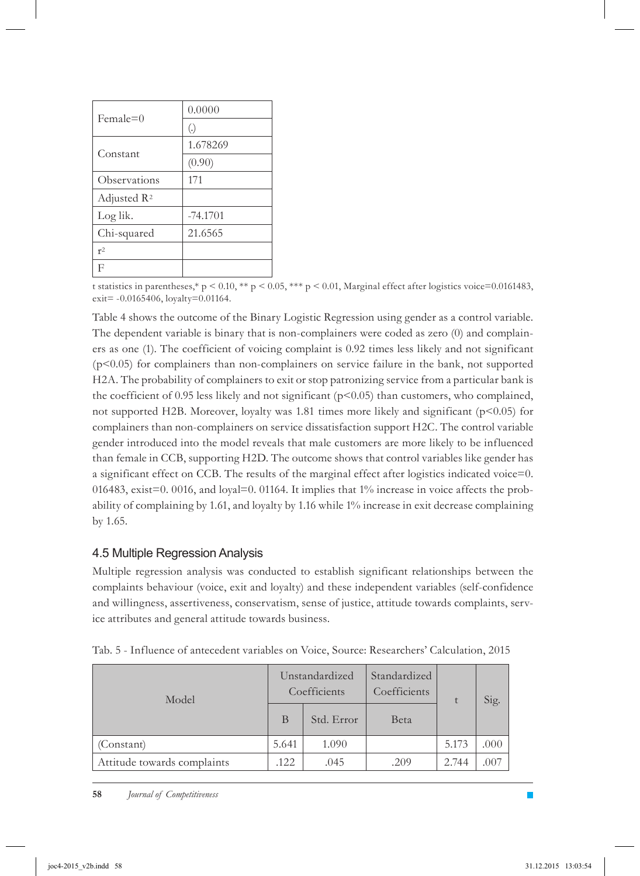| $Female=0$              | 0.0000     |
|-------------------------|------------|
|                         | (.)        |
| Constant                | 1.678269   |
|                         | (0.90)     |
| Observations            | 171        |
| Adjusted R <sup>2</sup> |            |
| Log lik.                | $-74.1701$ |
| Chi-squared             | 21.6565    |
| r <sup>2</sup>          |            |
| F                       |            |

t statistics in parentheses,\* p < 0.10, \*\* p < 0.05, \*\*\* p < 0.01, Marginal effect after logistics voice=0.0161483, exit= -0.0165406, loyalty=0.01164.

Table 4 shows the outcome of the Binary Logistic Regression using gender as a control variable. The dependent variable is binary that is non-complainers were coded as zero (0) and complainers as one (1). The coefficient of voicing complaint is 0.92 times less likely and not significant  $(p<0.05)$  for complainers than non-complainers on service failure in the bank, not supported H2A. The probability of complainers to exit or stop patronizing service from a particular bank is the coefficient of 0.95 less likely and not significant  $(p<0.05)$  than customers, who complained, not supported H2B. Moreover, loyalty was 1.81 times more likely and significant  $(p<0.05)$  for complainers than non-complainers on service dissatisfaction support H2C. The control variable gender introduced into the model reveals that male customers are more likely to be influenced than female in CCB, supporting H2D. The outcome shows that control variables like gender has a significant effect on CCB. The results of the marginal effect after logistics indicated voice=0. 016483, exist=0. 0016, and loyal=0. 01164. It implies that 1% increase in voice affects the probability of complaining by 1.61, and loyalty by 1.16 while 1% increase in exit decrease complaining by 1.65.

#### 4.5 Multiple Regression Analysis

Multiple regression analysis was conducted to establish significant relationships between the complaints behaviour (voice, exit and loyalty) and these independent variables (self-confidence and willingness, assertiveness, conservatism, sense of justice, attitude towards complaints, service attributes and general attitude towards business.

| Model                       |       | Unstandardized<br>Coefficients | Standardized<br>Coefficients |       | Sig. |
|-----------------------------|-------|--------------------------------|------------------------------|-------|------|
|                             | B     | Std. Error                     | Beta                         |       |      |
| (Constant)                  | 5.641 | 1.090                          |                              | 5.173 | .000 |
| Attitude towards complaints | .122  | .045                           | .209                         | 2.744 | .007 |

Tab. 5 - Influence of antecedent variables on Voice, Source: Researchers' Calculation, 2015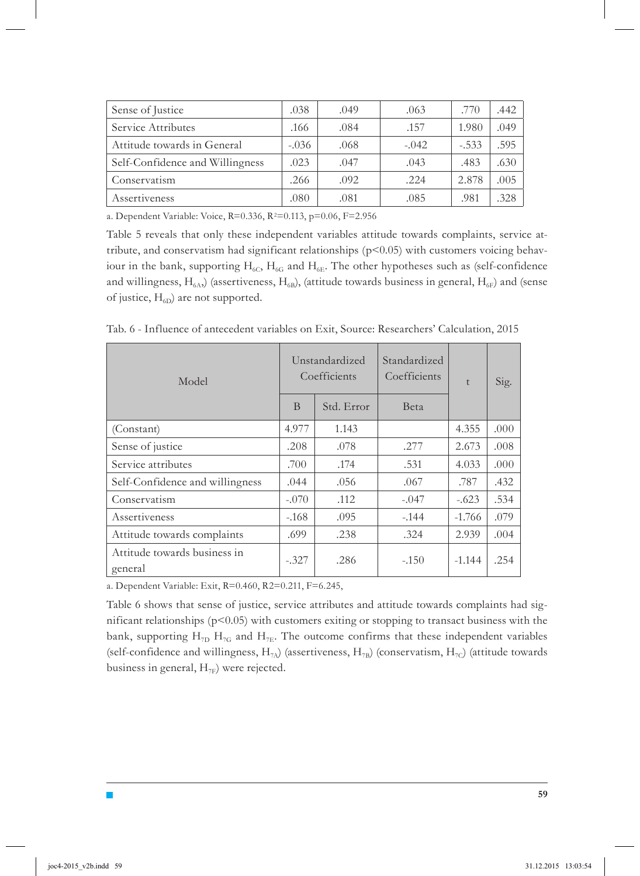| Sense of Justice                | .038    | .049 | .063    | .770    | .442 |
|---------------------------------|---------|------|---------|---------|------|
| Service Attributes              | .166    | .084 | .157    | 1.980   | .049 |
| Attitude towards in General     | $-.036$ | .068 | $-.042$ | $-.533$ | .595 |
| Self-Confidence and Willingness | .023    | .047 | .043    | .483    | .630 |
| Conservatism                    | .266    | .092 | .224    | 2.878   | .005 |
| Assertiveness                   | .080    | .081 | .085    | .981    | .328 |

a. Dependent Variable: Voice, R=0.336, R2=0.113, p=0.06, F=2.956

Table 5 reveals that only these independent variables attitude towards complaints, service attribute, and conservatism had significant relationships ( $p<0.05$ ) with customers voicing behaviour in the bank, supporting  $H_{6C}$ ,  $H_{6G}$  and  $H_{6E}$ . The other hypotheses such as (self-confidence and willingness,  $H_{6A}$ ) (assertiveness,  $H_{6B}$ ), (attitude towards business in general,  $H_{6F}$ ) and (sense of justice,  $H_{6D}$ ) are not supported.

Tab. 6 - Influence of antecedent variables on Exit, Source: Researchers' Calculation, 2015

| Model                                   |         | Unstandardized<br>Coefficients | Standardized<br>Coefficients | t        | Sig. |
|-----------------------------------------|---------|--------------------------------|------------------------------|----------|------|
|                                         | B       | Std. Error                     | Beta                         |          |      |
| (Constant)                              | 4.977   | 1.143                          |                              | 4.355    | .000 |
| Sense of justice                        | .208    | .078                           | .277                         | 2.673    | .008 |
| Service attributes                      | .700    | .174                           | .531                         | 4.033    | .000 |
| Self-Confidence and willingness         | .044    | .056                           | .067                         | .787     | .432 |
| Conservatism                            | $-.070$ | .112                           | $-.047$                      | $-.623$  | .534 |
| Assertiveness                           | $-.168$ | .095                           | $-.144$                      | $-1.766$ | .079 |
| Attitude towards complaints             | .699    | .238                           | .324                         | 2.939    | .004 |
| Attitude towards business in<br>general | $-.327$ | .286                           | $-.150$                      | $-1.144$ | .254 |

a. Dependent Variable: Exit, R=0.460, R2=0.211, F=6.245,

Table 6 shows that sense of justice, service attributes and attitude towards complaints had significant relationships  $(p<0.05)$  with customers exiting or stopping to transact business with the bank, supporting  $H_{7D}$   $H_{7G}$  and  $H_{7E}$ . The outcome confirms that these independent variables (self-confidence and willingness,  $H_{7A}$ ) (assertiveness,  $H_{7B}$ ) (conservatism,  $H_{7C}$ ) (attitude towards business in general,  $H_{7F}$ ) were rejected.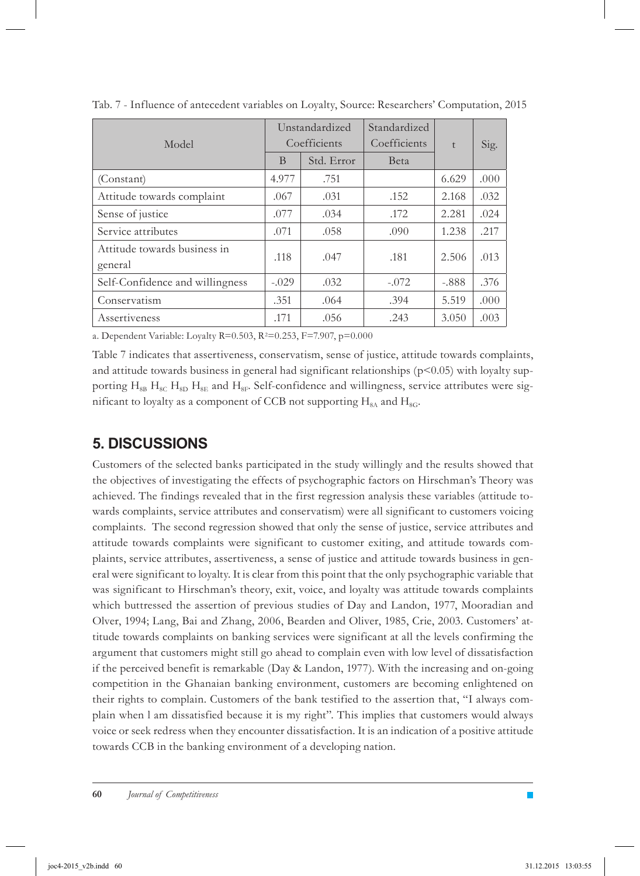| Model                                   | Unstandardized<br>Coefficients |            | Standardized<br>Coefficients | t       | Sig. |
|-----------------------------------------|--------------------------------|------------|------------------------------|---------|------|
|                                         | B                              | Std. Error | Beta                         |         |      |
| (Constant)                              | 4.977                          | .751       |                              | 6.629   | .000 |
| Attitude towards complaint              | .067                           | .031       | .152                         | 2.168   | .032 |
| Sense of justice                        | .077                           | .034       | .172                         | 2.281   | .024 |
| Service attributes                      | .071                           | .058       | .090                         | 1.238   | .217 |
| Attitude towards business in<br>general | .118                           | .047       | .181                         | 2.506   | .013 |
| Self-Confidence and willingness         | $-.029$                        | .032       | $-.072$                      | $-.888$ | .376 |
| Conservatism                            | .351                           | .064       | .394                         | 5.519   | .000 |
| Assertiveness                           | .171                           | .056       | .243                         | 3.050   | .003 |

Tab. 7 - Influence of antecedent variables on Loyalty, Source: Researchers' Computation, 2015

a. Dependent Variable: Loyalty R=0.503, R2=0.253, F=7.907, p=0.000

Table 7 indicates that assertiveness, conservatism, sense of justice, attitude towards complaints, and attitude towards business in general had significant relationships  $(p<0.05)$  with loyalty supporting  $H_{8B}$   $H_{8C}$   $H_{8D}$   $H_{8E}$  and  $H_{8E}$ . Self-confidence and willingness, service attributes were significant to loyalty as a component of CCB not supporting  $H_{8A}$  and  $H_{8G}$ .

### **5. Discussions**

Customers of the selected banks participated in the study willingly and the results showed that the objectives of investigating the effects of psychographic factors on Hirschman's Theory was achieved. The findings revealed that in the first regression analysis these variables (attitude towards complaints, service attributes and conservatism) were all significant to customers voicing complaints. The second regression showed that only the sense of justice, service attributes and attitude towards complaints were significant to customer exiting, and attitude towards complaints, service attributes, assertiveness, a sense of justice and attitude towards business in general were significant to loyalty. It is clear from this point that the only psychographic variable that was significant to Hirschman's theory, exit, voice, and loyalty was attitude towards complaints which buttressed the assertion of previous studies of Day and Landon, 1977, Mooradian and Olver, 1994; Lang, Bai and Zhang, 2006, Bearden and Oliver, 1985, Crie, 2003. Customers' attitude towards complaints on banking services were significant at all the levels confirming the argument that customers might still go ahead to complain even with low level of dissatisfaction if the perceived benefit is remarkable (Day & Landon, 1977). With the increasing and on-going competition in the Ghanaian banking environment, customers are becoming enlightened on their rights to complain. Customers of the bank testified to the assertion that, "I always complain when l am dissatisfied because it is my right". This implies that customers would always voice or seek redress when they encounter dissatisfaction. It is an indication of a positive attitude towards CCB in the banking environment of a developing nation.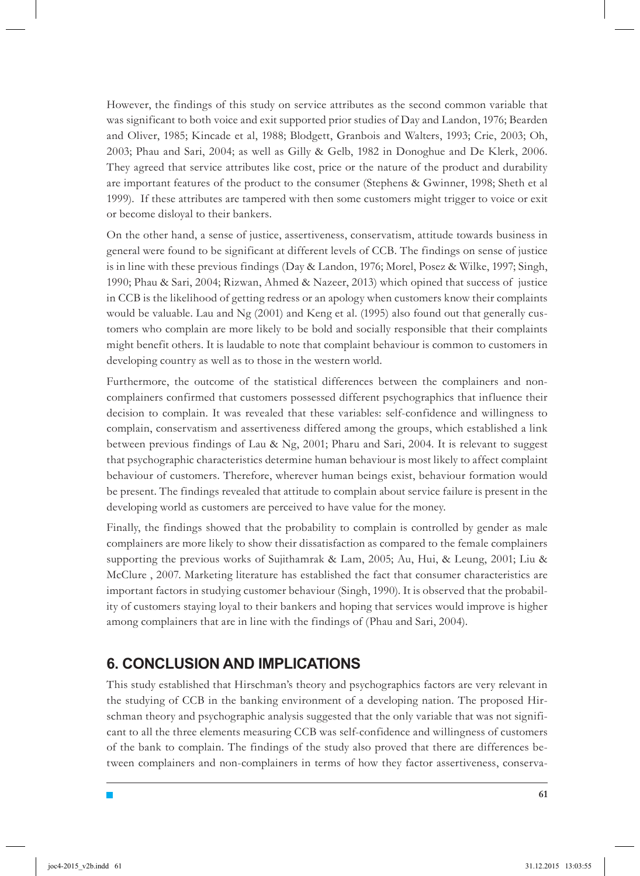However, the findings of this study on service attributes as the second common variable that was significant to both voice and exit supported prior studies of Day and Landon, 1976; Bearden and Oliver, 1985; Kincade et al, 1988; Blodgett, Granbois and Walters, 1993; Crie, 2003; Oh, 2003; Phau and Sari, 2004; as well as Gilly & Gelb, 1982 in Donoghue and De Klerk, 2006. They agreed that service attributes like cost, price or the nature of the product and durability are important features of the product to the consumer (Stephens & Gwinner, 1998; Sheth et al 1999). If these attributes are tampered with then some customers might trigger to voice or exit or become disloyal to their bankers.

On the other hand, a sense of justice, assertiveness, conservatism, attitude towards business in general were found to be significant at different levels of CCB. The findings on sense of justice is in line with these previous findings (Day & Landon, 1976; Morel, Posez & Wilke, 1997; Singh, 1990; Phau & Sari, 2004; Rizwan, Ahmed & Nazeer, 2013) which opined that success of justice in CCB is the likelihood of getting redress or an apology when customers know their complaints would be valuable. Lau and Ng (2001) and Keng et al. (1995) also found out that generally customers who complain are more likely to be bold and socially responsible that their complaints might benefit others. It is laudable to note that complaint behaviour is common to customers in developing country as well as to those in the western world.

Furthermore, the outcome of the statistical differences between the complainers and noncomplainers confirmed that customers possessed different psychographics that influence their decision to complain. It was revealed that these variables: self-confidence and willingness to complain, conservatism and assertiveness differed among the groups, which established a link between previous findings of Lau & Ng, 2001; Pharu and Sari, 2004. It is relevant to suggest that psychographic characteristics determine human behaviour is most likely to affect complaint behaviour of customers. Therefore, wherever human beings exist, behaviour formation would be present. The findings revealed that attitude to complain about service failure is present in the developing world as customers are perceived to have value for the money.

Finally, the findings showed that the probability to complain is controlled by gender as male complainers are more likely to show their dissatisfaction as compared to the female complainers supporting the previous works of Sujithamrak & Lam, 2005; Au, Hui, & Leung, 2001; Liu & McClure , 2007. Marketing literature has established the fact that consumer characteristics are important factors in studying customer behaviour (Singh, 1990). It is observed that the probability of customers staying loyal to their bankers and hoping that services would improve is higher among complainers that are in line with the findings of (Phau and Sari, 2004).

# **6. Conclusion and Implications**

This study established that Hirschman's theory and psychographics factors are very relevant in the studying of CCB in the banking environment of a developing nation. The proposed Hirschman theory and psychographic analysis suggested that the only variable that was not significant to all the three elements measuring CCB was self-confidence and willingness of customers of the bank to complain. The findings of the study also proved that there are differences between complainers and non-complainers in terms of how they factor assertiveness, conserva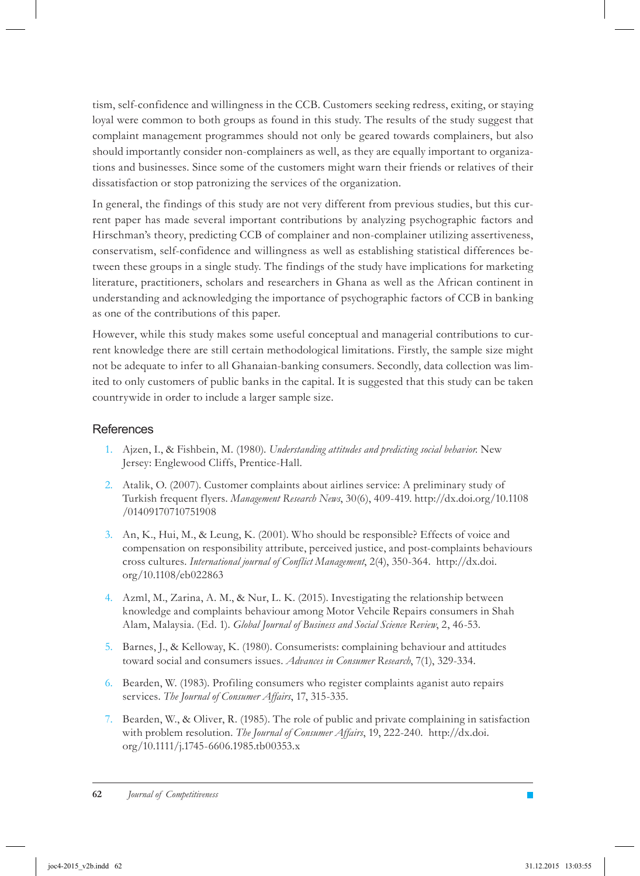tism, self-confidence and willingness in the CCB. Customers seeking redress, exiting, or staying loyal were common to both groups as found in this study. The results of the study suggest that complaint management programmes should not only be geared towards complainers, but also should importantly consider non-complainers as well, as they are equally important to organizations and businesses. Since some of the customers might warn their friends or relatives of their dissatisfaction or stop patronizing the services of the organization.

In general, the findings of this study are not very different from previous studies, but this current paper has made several important contributions by analyzing psychographic factors and Hirschman's theory, predicting CCB of complainer and non-complainer utilizing assertiveness, conservatism, self-confidence and willingness as well as establishing statistical differences between these groups in a single study. The findings of the study have implications for marketing literature, practitioners, scholars and researchers in Ghana as well as the African continent in understanding and acknowledging the importance of psychographic factors of CCB in banking as one of the contributions of this paper.

However, while this study makes some useful conceptual and managerial contributions to current knowledge there are still certain methodological limitations. Firstly, the sample size might not be adequate to infer to all Ghanaian-banking consumers. Secondly, data collection was limited to only customers of public banks in the capital. It is suggested that this study can be taken countrywide in order to include a larger sample size.

#### **References**

- Ajzen, I., & Fishbein, M. (1980). *Understanding attitudes and predicting social behavior.* New 1. Jersey: Englewood Cliffs, Prentice-Hall.
- 2. Atalik, O. (2007). Customer complaints about airlines service: A preliminary study of Turkish frequent flyers. *Management Research News*, 30(6), 409-419. http://dx.doi.org/10.1108 /01409170710751908
- 3. An, K., Hui, M., & Leung, K. (2001). Who should be responsible? Effects of voice and compensation on responsibility attribute, perceived justice, and post-complaints behaviours cross cultures. *International journal of Conflict Management*, 2(4), 350-364. http://dx.doi. org/10.1108/eb022863
- 4. Azml, M., Zarina, A. M., & Nur, L. K. (2015). Investigating the relationship between knowledge and complaints behaviour among Motor Vehcile Repairs consumers in Shah Alam, Malaysia. (Ed. 1). *Global Journal of Business and Social Science Review*, 2, 46-53.
- 5. Barnes, J., & Kelloway, K. (1980). Consumerists: complaining behaviour and attitudes toward social and consumers issues. *Advances in Consumer Research*, 7(1), 329-334.
- 6. Bearden, W. (1983). Profiling consumers who register complaints aganist auto repairs services. *The Journal of Consumer Affairs*, 17, 315-335.
- 7. Bearden, W., & Oliver, R. (1985). The role of public and private complaining in satisfaction with problem resolution. *The Journal of Consumer Affairs*, 19, 222-240. http://dx.doi. org/10.1111/j.1745-6606.1985.tb00353.x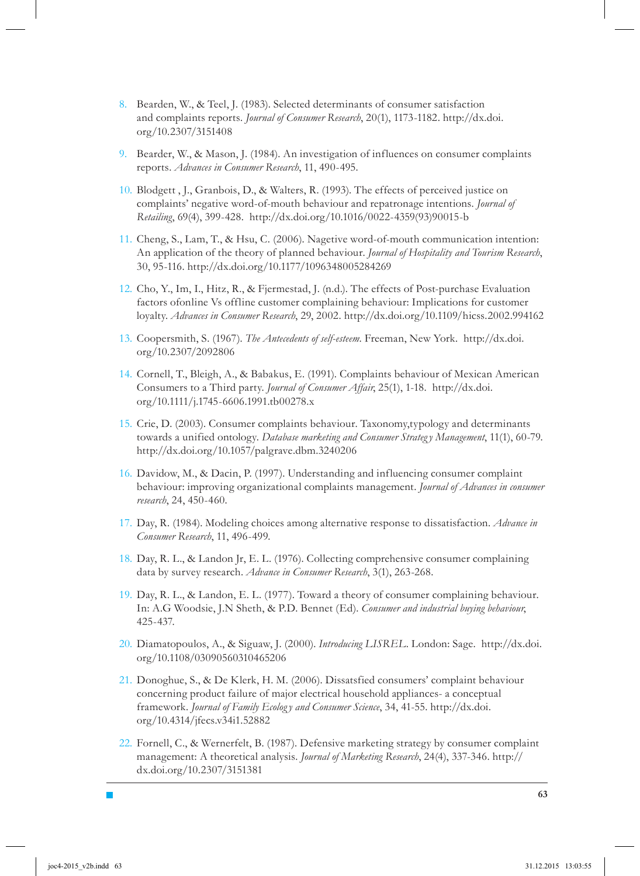- Bearden, W., & Teel, J. (1983). Selected determinants of consumer satisfaction 8. and complaints reports. *Journal of Consumer Research*, 20(1), 1173-1182. http://dx.doi. org/10.2307/3151408
- 9. Bearder, W., & Mason, J. (1984). An investigation of influences on consumer complaints reports. *Advances in Consumer Research*, 11, 490-495.
- 10. Blodgett , J., Granbois, D., & Walters, R. (1993). The effects of perceived justice on complaints' negative word-of-mouth behaviour and repatronage intentions. *Journal of Retailing*, 69(4), 399-428. http://dx.doi.org/10.1016/0022-4359(93)90015-b
- 11. Cheng, S., Lam, T., & Hsu, C. (2006). Nagetive word-of-mouth communication intention: An application of the theory of planned behaviour. *Journal of Hospitality and Tourism Research*, 30, 95-116. http://dx.doi.org/10.1177/1096348005284269
- 12. Cho, Y., Im, I., Hitz, R., & Fjermestad, J. (n.d.). The effects of Post-purchase Evaluation factors ofonline Vs offline customer complaining behaviour: Implications for customer loyalty. *Advances in Consumer Research*, 29, 2002. http://dx.doi.org/10.1109/hicss.2002.994162
- Coopersmith, S. (1967). *The Antecedents of self-esteem*. Freeman, New York. http://dx.doi. 13. org/10.2307/2092806
- 14. Cornell, T., Bleigh, A., & Babakus, E. (1991). Complaints behaviour of Mexican American Consumers to a Third party. *Journal of Consumer Affair*, 25(1), 1-18. http://dx.doi. org/10.1111/j.1745-6606.1991.tb00278.x
- 15. Crie, D. (2003). Consumer complaints behaviour. Taxonomy, typology and determinants towards a unified ontology. *Database marketing and Consumer Strategy Management*, 11(1), 60-79. http://dx.doi.org/10.1057/palgrave.dbm.3240206
- 16. Davidow, M., & Dacin, P. (1997). Understanding and influencing consumer complaint behaviour: improving organizational complaints management. *Journal of Advances in consumer research*, 24, 450-460.
- 17. Day, R. (1984). Modeling choices among alternative response to dissatisfaction. Advance in *Consumer Research*, 11, 496-499.
- 18. Day, R. L., & Landon Jr, E. L. (1976). Collecting comprehensive consumer complaining data by survey research. *Advance in Consumer Research*, 3(1), 263-268.
- 19. Day, R. L., & Landon, E. L. (1977). Toward a theory of consumer complaining behaviour. In: A.G Woodsie, J.N Sheth, & P.D. Bennet (Ed). *Consumer and industrial buying behaviour*, 425-437.
- 20. Diamatopoulos, A., & Siguaw, J. (2000). *Introducing LISREL*. London: Sage. http://dx.doi. org/10.1108/03090560310465206
- 21. Donoghue, S., & De Klerk, H. M. (2006). Dissatsfied consumers' complaint behaviour concerning product failure of major electrical household appliances- a conceptual framework. *Journal of Family Ecolog y and Consumer Science*, 34, 41-55. http://dx.doi. org/10.4314/jfecs.v34i1.52882
- 22. Fornell, C., & Wernerfelt, B. (1987). Defensive marketing strategy by consumer complaint management: A theoretical analysis. *Journal of Marketing Research*, 24(4), 337-346. http:// dx.doi.org/10.2307/3151381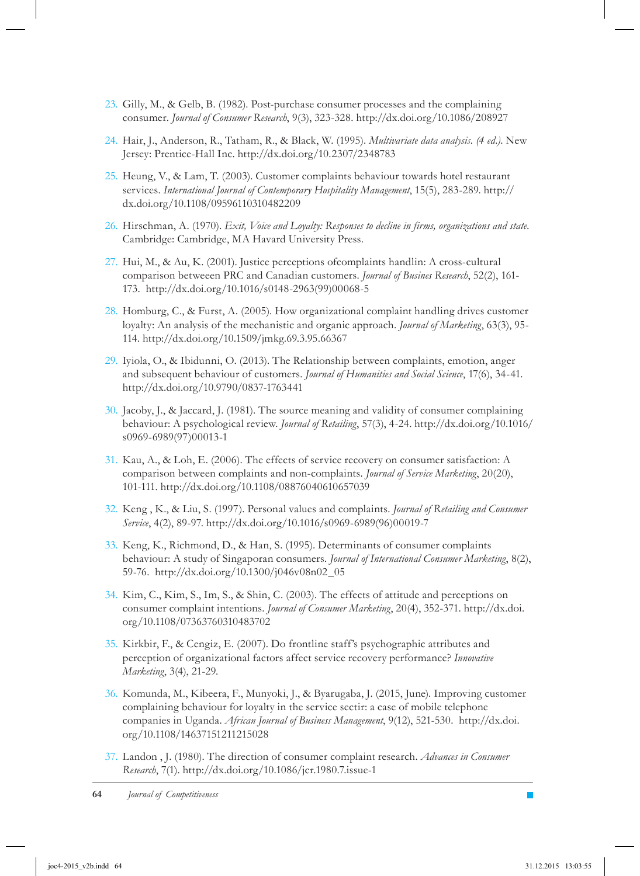- 23. Gilly, M., & Gelb, B. (1982). Post-purchase consumer processes and the complaining consumer. *Journal of Consumer Research*, 9(3), 323-328. http://dx.doi.org/10.1086/208927
- Hair, J., Anderson, R., Tatham, R., & Black, W. (1995). *Multivariate data analysis. (4 ed.)*. New 24. Jersey: Prentice-Hall Inc. http://dx.doi.org/10.2307/2348783
- 25. Heung, V., & Lam, T. (2003). Customer complaints behaviour towards hotel restaurant services. *International Journal of Contemporary Hospitality Management*, 15(5), 283-289. http:// dx.doi.org/10.1108/09596110310482209
- 26. Hirschman, A. (1970). *Exit, Voice and Loyalty: Responses to decline in firms, organizations and state*. Cambridge: Cambridge, MA Havard University Press.
- 27. Hui, M., & Au, K. (2001). Justice perceptions of complaints handlin: A cross-cultural comparison betweeen PRC and Canadian customers. *Journal of Busines Research*, 52(2), 161- 173. http://dx.doi.org/10.1016/s0148-2963(99)00068-5
- 28. Homburg, C., & Furst, A. (2005). How organizational complaint handling drives customer loyalty: An analysis of the mechanistic and organic approach. *Journal of Marketing*, 63(3), 95- 114. http://dx.doi.org/10.1509/jmkg.69.3.95.66367
- 29. Iyiola, O., & Ibidunni, O. (2013). The Relationship between complaints, emotion, anger and subsequent behaviour of customers. *Journal of Humanities and Social Science*, 17(6), 34-41. http://dx.doi.org/10.9790/0837-1763441
- 30. Jacoby, J., & Jaccard, J. (1981). The source meaning and validity of consumer complaining behaviour: A psychological review. *Journal of Retailing*, 57(3), 4-24. http://dx.doi.org/10.1016/ s0969-6989(97)00013-1
- 31. Kau, A., & Loh, E. (2006). The effects of service recovery on consumer satisfaction: A comparison between complaints and non-complaints. *Journal of Service Marketing*, 20(20), 101-111. http://dx.doi.org/10.1108/08876040610657039
- 32. Keng, K., & Liu, S. (1997). Personal values and complaints. *Journal of Retailing and Consumer Service*, 4(2), 89-97. http://dx.doi.org/10.1016/s0969-6989(96)00019-7
- 33. Keng, K., Richmond, D., & Han, S. (1995). Determinants of consumer complaints behaviour: A study of Singaporan consumers. *Journal of International Consumer Marketing*, 8(2), 59-76. http://dx.doi.org/10.1300/j046v08n02\_05
- 34. Kim, C., Kim, S., Im, S., & Shin, C. (2003). The effects of attitude and perceptions on consumer complaint intentions. *Journal of Consumer Marketing*, 20(4), 352-371. http://dx.doi. org/10.1108/07363760310483702
- 35. Kirkbir, F., & Cengiz, E. (2007). Do frontline staff's psychographic attributes and perception of organizational factors affect service recovery performance? *Innovative Marketing*, 3(4), 21-29.
- 36. Komunda, M., Kibeera, F., Munyoki, J., & Byarugaba, J. (2015, June). Improving customer complaining behaviour for loyalty in the service sectir: a case of mobile telephone companies in Uganda. *African Journal of Business Management*, 9(12), 521-530. http://dx.doi. org/10.1108/14637151211215028
- Landon , J. (1980). The direction of consumer complaint research. *Advances in Consumer*  37. *Research*, 7(1). http://dx.doi.org/10.1086/jcr.1980.7.issue-1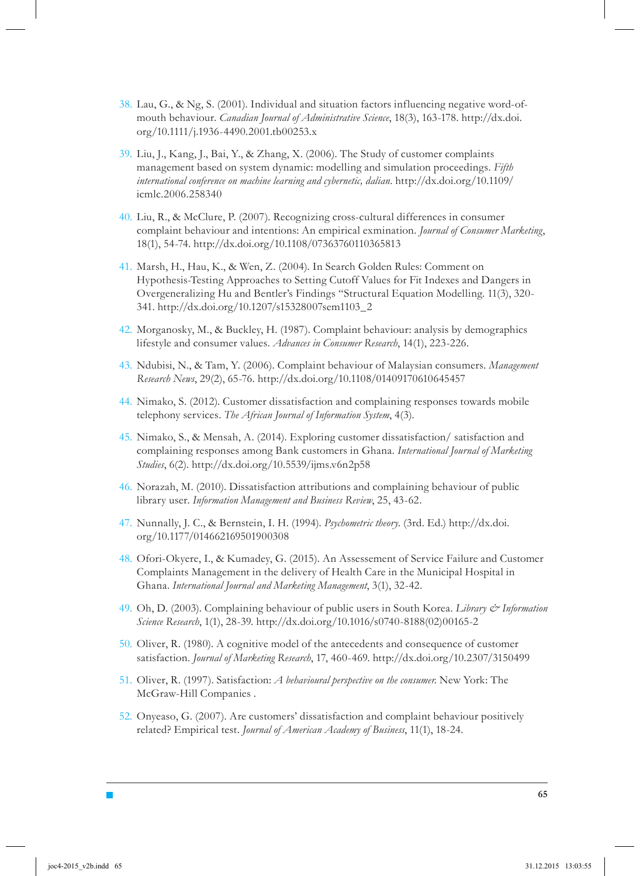- Lau, G., & Ng, S. (2001). Individual and situation factors influencing negative word-of-38. mouth behaviour. *Canadian Journal of Administrative Science*, 18(3), 163-178. http://dx.doi. org/10.1111/j.1936-4490.2001.tb00253.x
- 39. Liu, J., Kang, J., Bai, Y., & Zhang, X. (2006). The Study of customer complaints management based on system dynamic: modelling and simulation proceedings. *Fifth international conference on machine learning and cybernetic, dalian*. http://dx.doi.org/10.1109/ icmlc.2006.258340
- 40. Liu, R., & McClure, P. (2007). Recognizing cross-cultural differences in consumer complaint behaviour and intentions: An empirical exmination. *Journal of Consumer Marketing*, 18(1), 54-74. http://dx.doi.org/10.1108/07363760110365813
- 41. Marsh, H., Hau, K., & Wen, Z. (2004). In Search Golden Rules: Comment on Hypothesis-Testing Approaches to Setting Cutoff Values for Fit Indexes and Dangers in Overgeneralizing Hu and Bentler's Findings "Structural Equation Modelling. 11(3), 320- 341. http://dx.doi.org/10.1207/s15328007sem1103\_2
- 42. Morganosky, M., & Buckley, H. (1987). Complaint behaviour: analysis by demographics lifestyle and consumer values. *Advances in Consumer Research*, 14(1), 223-226.
- Ndubisi, N., & Tam, Y. (2006). Complaint behaviour of Malaysian consumers. *Management*  43. *Research News*, 29(2), 65-76. http://dx.doi.org/10.1108/01409170610645457
- 44. Nimako, S. (2012). Customer dissatisfaction and complaining responses towards mobile telephony services. *The African Journal of Information System*, 4(3).
- 45. Nimako, S., & Mensah, A. (2014). Exploring customer dissatisfaction/satisfaction and complaining responses among Bank customers in Ghana. *International Journal of Marketing Studies*, 6(2). http://dx.doi.org/10.5539/ijms.v6n2p58
- 46. Norazah, M. (2010). Dissatisfaction attributions and complaining behaviour of public library user. *Information Management and Business Review*, 25, 43-62.
- 47. Nunnally, J. C., & Bernstein, I. H. (1994). *Psychometric theory*. (3rd. Ed.) http://dx.doi. org/10.1177/014662169501900308
- 48. Ofori-Okyere, I., & Kumadey, G. (2015). An Assessement of Service Failure and Customer Complaints Management in the delivery of Health Care in the Municipal Hospital in Ghana. *International Journal and Marketing Management*, 3(1), 32-42.
- 49. Oh, D. (2003). Complaining behaviour of public users in South Korea. *Library & Information Science Research*, 1(1), 28-39. http://dx.doi.org/10.1016/s0740-8188(02)00165-2
- 50. Oliver, R. (1980). A cognitive model of the antecedents and consequence of customer satisfaction. *Journal of Marketing Research*, 17, 460-469. http://dx.doi.org/10.2307/3150499
- 51. Oliver, R. (1997). Satisfaction: *A behavioural perspective on the consumer*. New York: The McGraw-Hill Companies .
- 52. Onyeaso, G. (2007). Are customers' dissatisfaction and complaint behaviour positively related? Empirical test. *Journal of American Academy of Business*, 11(1), 18-24.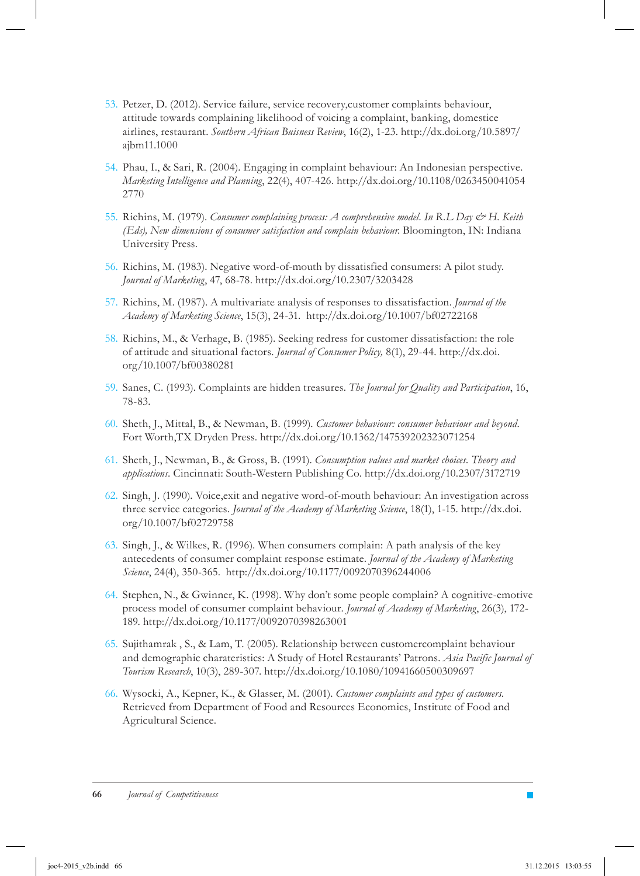- 53. Petzer, D. (2012). Service failure, service recovery, customer complaints behaviour, attitude towards complaining likelihood of voicing a complaint, banking, domestice airlines, restaurant. *Southern African Buisness Review*, 16(2), 1-23. http://dx.doi.org/10.5897/ ajbm11.1000
- 54. Phau, I., & Sari, R. (2004). Engaging in complaint behaviour: An Indonesian perspective. *Marketing Intelligence and Planning*, 22(4), 407-426. http://dx.doi.org/10.1108/0263450041054 2770
- 55. Richins, M. (1979). *Consumer complaining process: A comprehensive model. In R.L. Day & H. Keith (Eds), New dimensions of consumer satisfaction and complain behaviour*. Bloomington, IN: Indiana University Press.
- 56. Richins, M. (1983). Negative word-of-mouth by dissatisfied consumers: A pilot study. *Journal of Marketing*, 47, 68-78. http://dx.doi.org/10.2307/3203428
- Richins, M. (1987). A multivariate analysis of responses to dissatisfaction. *Journal of the*  57. *Academy of Marketing Science*, 15(3), 24-31. http://dx.doi.org/10.1007/bf02722168
- 58. Richins, M., & Verhage, B. (1985). Seeking redress for customer dissatisfaction: the role of attitude and situational factors. *Journal of Consumer Policy,* 8(1), 29-44. http://dx.doi. org/10.1007/bf00380281
- Sanes, C. (1993). Complaints are hidden treasures. *The Journal for Quality and Participation*, 16, 59. 78-83.
- Sheth, J., Mittal, B., & Newman, B. (1999). *Customer behaviour: consumer behaviour and beyond*. 60. Fort Worth,TX Dryden Press. http://dx.doi.org/10.1362/147539202323071254
- Sheth, J., Newman, B., & Gross, B. (1991). *Consumption values and market choices. Theory and*  61. *applications*. Cincinnati: South-Western Publishing Co. http://dx.doi.org/10.2307/3172719
- 62. Singh, J. (1990). Voice, exit and negative word-of-mouth behaviour: An investigation across three service categories. *Journal of the Academy of Marketing Science*, 18(1), 1-15. http://dx.doi. org/10.1007/bf02729758
- 63. Singh, J., & Wilkes, R. (1996). When consumers complain: A path analysis of the key antecedents of consumer complaint response estimate. *Journal of the Academy of Marketing Science*, 24(4), 350-365. http://dx.doi.org/10.1177/0092070396244006
- 64. Stephen, N., & Gwinner, K. (1998). Why don't some people complain? A cognitive-emotive process model of consumer complaint behaviour. *Journal of Academy of Marketing*, 26(3), 172- 189. http://dx.doi.org/10.1177/0092070398263001
- 65. Sujithamrak , S., & Lam, T. (2005). Relationship between customercomplaint behaviour and demographic charateristics: A Study of Hotel Restaurants' Patrons. *Asia Pacific Journal of Tourism Research*, 10(3), 289-307. http://dx.doi.org/10.1080/10941660500309697
- Wysocki, A., Kepner, K., & Glasser, M. (2001). *Customer complaints and types of customers.* 66. Retrieved from Department of Food and Resources Economics, Institute of Food and Agricultural Science.